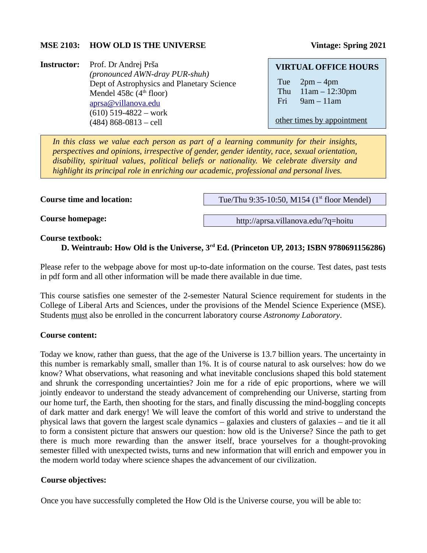### **MSE 2103: HOW OLD IS THE UNIVERSE Vintage: Spring 2021**

**Instructor:** Prof. Dr Andrej Prša *(pronounced AWN-dray PUR-shuh)* Dept of Astrophysics and Planetary Science Mendel 458 $c$  (4<sup>th</sup> floor) [aprsa@villanova.edu](mailto:aprsa@villanova.edu) (610) 519-4822 – work (484) 868-0813 – cell

### **VIRTUAL OFFICE HOURS**

Tue 2pm – 4pm Thu 11am – 12:30pm Fri 9am – 11am

other times by appointment

*In this class we value each person as part of a learning community for their insights, perspectives and opinions, irrespective of gender, gender identity, race, sexual orientation, disability, spiritual values, political beliefs or nationality. We celebrate diversity and highlight its principal role in enriching our academic, professional and personal lives.*

**Course time and location:**

Tue/Thu  $9:35-10:50$ , M154 (1<sup>st</sup> floor Mendel)

**Course homepage:**

http://aprsa.villanova.edu/?q=hoitu

#### **Course textbook:**

#### **D. Weintraub: How Old is the Universe, 3rd Ed. (Princeton UP, 2013; ISBN 9780691156286)**

Please refer to the webpage above for most up-to-date information on the course. Test dates, past tests in pdf form and all other information will be made there available in due time.

This course satisfies one semester of the 2-semester Natural Science requirement for students in the College of Liberal Arts and Sciences, under the provisions of the Mendel Science Experience (MSE). Students must also be enrolled in the concurrent laboratory course *Astronomy Laboratory*.

#### **Course content:**

Today we know, rather than guess, that the age of the Universe is 13.7 billion years. The uncertainty in this number is remarkably small, smaller than 1%. It is of course natural to ask ourselves: how do we know? What observations, what reasoning and what inevitable conclusions shaped this bold statement and shrunk the corresponding uncertainties? Join me for a ride of epic proportions, where we will jointly endeavor to understand the steady advancement of comprehending our Universe, starting from our home turf, the Earth, then shooting for the stars, and finally discussing the mind-boggling concepts of dark matter and dark energy! We will leave the comfort of this world and strive to understand the physical laws that govern the largest scale dynamics – galaxies and clusters of galaxies – and tie it all to form a consistent picture that answers our question: how old is the Universe? Since the path to get there is much more rewarding than the answer itself, brace yourselves for a thought-provoking semester filled with unexpected twists, turns and new information that will enrich and empower you in the modern world today where science shapes the advancement of our civilization.

#### **Course objectives:**

Once you have successfully completed the How Old is the Universe course, you will be able to: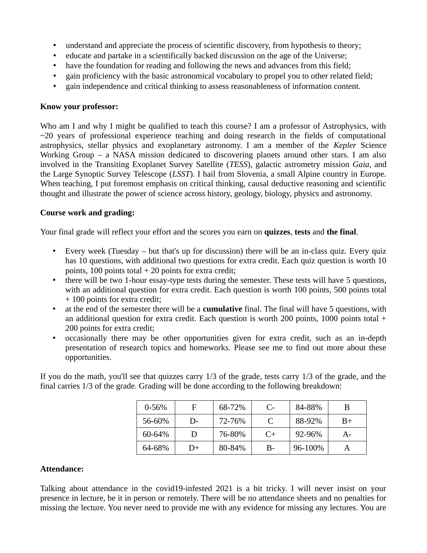- understand and appreciate the process of scientific discovery, from hypothesis to theory;
- educate and partake in a scientifically backed discussion on the age of the Universe;
- have the foundation for reading and following the news and advances from this field;
- gain proficiency with the basic astronomical vocabulary to propel you to other related field;
- gain independence and critical thinking to assess reasonableness of information content.

## **Know your professor:**

Who am I and why I might be qualified to teach this course? I am a professor of Astrophysics, with  $\sim$ 20 years of professional experience teaching and doing research in the fields of computational astrophysics, stellar physics and exoplanetary astronomy. I am a member of the *Kepler* Science Working Group – a NASA mission dedicated to discovering planets around other stars. I am also involved in the Transiting Exoplanet Survey Satellite (*TESS*), galactic astrometry mission *Gaia*, and the Large Synoptic Survey Telescope (*LSST*). I hail from Slovenia, a small Alpine country in Europe. When teaching, I put foremost emphasis on critical thinking, causal deductive reasoning and scientific thought and illustrate the power of science across history, geology, biology, physics and astronomy.

## **Course work and grading:**

Your final grade will reflect your effort and the scores you earn on **quizzes**, **tests** and **the final**.

- Every week (Tuesday but that's up for discussion) there will be an in-class quiz. Every quiz has 10 questions, with additional two questions for extra credit. Each quiz question is worth 10 points,  $100$  points total  $+20$  points for extra credit;
- there will be two 1-hour essay-type tests during the semester. These tests will have 5 questions, with an additional question for extra credit. Each question is worth 100 points, 500 points total + 100 points for extra credit;
- at the end of the semester there will be a **cumulative** final. The final will have 5 questions, with an additional question for extra credit. Each question is worth 200 points, 1000 points total + 200 points for extra credit;
- occasionally there may be other opportunities given for extra credit, such as an in-depth presentation of research topics and homeworks. Please see me to find out more about these opportunities.

If you do the math, you'll see that quizzes carry 1/3 of the grade, tests carry 1/3 of the grade, and the final carries 1/3 of the grade. Grading will be done according to the following breakdown:

| $0 - 56%$ | E    | 68-72% | C-   | 84-88%      | В     |
|-----------|------|--------|------|-------------|-------|
| 56-60%    | $D-$ | 72-76% | C    | 88-92%      | $B+$  |
| 60-64%    | D    | 76-80% | $C+$ | $92 - 96\%$ | $A -$ |
| 64-68%    | D+   | 80-84% | B-   | $96-100\%$  |       |

# **Attendance:**

Talking about attendance in the covid19-infested 2021 is a bit tricky. I will never insist on your presence in lecture, be it in person or remotely. There will be no attendance sheets and no penalties for missing the lecture. You never need to provide me with any evidence for missing any lectures. You are